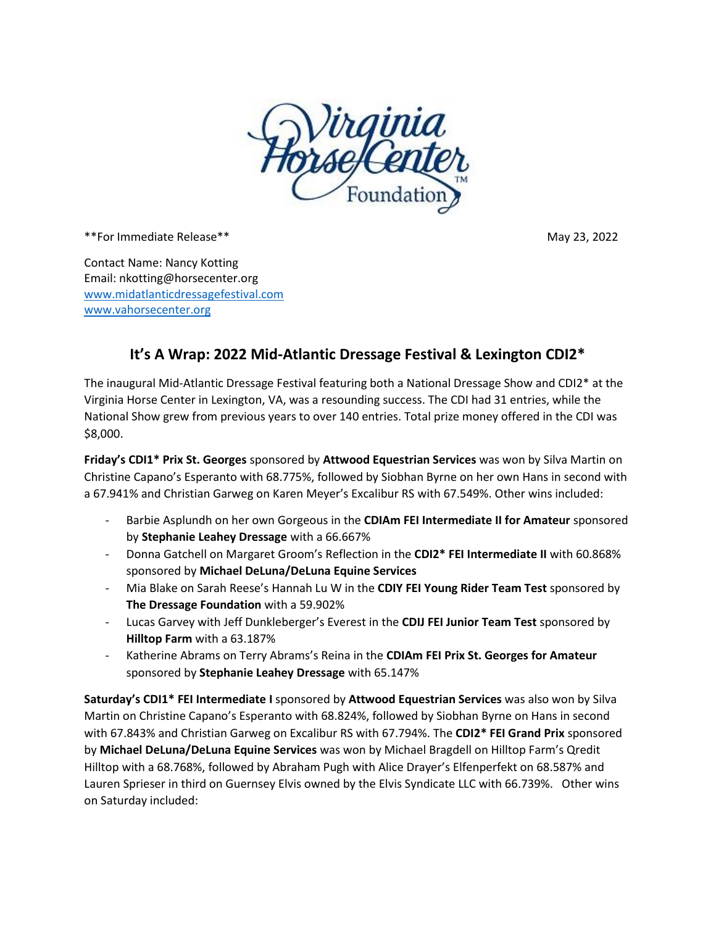

\*\*For Immediate Release\*\* May 23, 2022

Contact Name: Nancy Kotting Email: nkotting@horsecenter.org [www.midatlanticdressagefestival.com](http://www.midatlanticdressagefestival.com/) <www.vahorsecenter.org>

## **It's A Wrap: 2022 Mid-Atlantic Dressage Festival & Lexington CDI2\***

The inaugural Mid-Atlantic Dressage Festival featuring both a National Dressage Show and CDI2\* at the Virginia Horse Center in Lexington, VA, was a resounding success. The CDI had 31 entries, while the National Show grew from previous years to over 140 entries. Total prize money offered in the CDI was \$8,000.

**Friday's CDI1\* Prix St. Georges** sponsored by **Attwood Equestrian Services** was won by Silva Martin on Christine Capano's Esperanto with 68.775%, followed by Siobhan Byrne on her own Hans in second with a 67.941% and Christian Garweg on Karen Meyer's Excalibur RS with 67.549%. Other wins included:

- Barbie Asplundh on her own Gorgeous in the **CDIAm FEI Intermediate II for Amateur** sponsored by **Stephanie Leahey Dressage** with a 66.667%
- Donna Gatchell on Margaret Groom's Reflection in the **CDI2\* FEI Intermediate II** with 60.868% sponsored by **Michael DeLuna/DeLuna Equine Services**
- Mia Blake on Sarah Reese's Hannah Lu W in the **CDIY FEI Young Rider Team Test** sponsored by **The Dressage Foundation** with a 59.902%
- Lucas Garvey with Jeff Dunkleberger's Everest in the **CDIJ FEI Junior Team Test** sponsored by **Hilltop Farm** with a 63.187%
- Katherine Abrams on Terry Abrams's Reina in the **CDIAm FEI Prix St. Georges for Amateur** sponsored by **Stephanie Leahey Dressage** with 65.147%

**Saturday's CDI1\* FEI Intermediate I** sponsored by **Attwood Equestrian Services** was also won by Silva Martin on Christine Capano's Esperanto with 68.824%, followed by Siobhan Byrne on Hans in second with 67.843% and Christian Garweg on Excalibur RS with 67.794%. The **CDI2\* FEI Grand Prix** sponsored by **Michael DeLuna/DeLuna Equine Services** was won by Michael Bragdell on Hilltop Farm's Qredit Hilltop with a 68.768%, followed by Abraham Pugh with Alice Drayer's Elfenperfekt on 68.587% and Lauren Sprieser in third on Guernsey Elvis owned by the Elvis Syndicate LLC with 66.739%. Other wins on Saturday included: